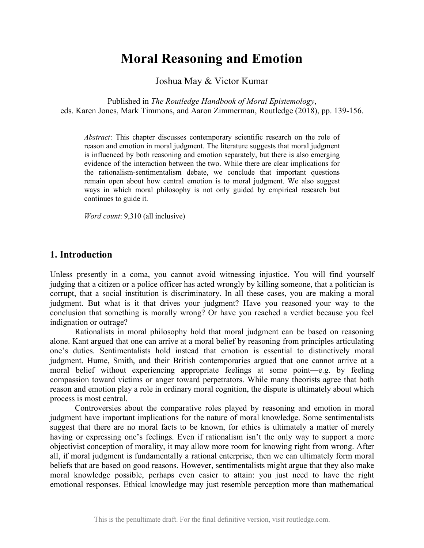# **Moral Reasoning and Emotion**

Joshua May & Victor Kumar

Published in *The Routledge Handbook of Moral Epistemology*, eds. Karen Jones, Mark Timmons, and Aaron Zimmerman, Routledge (2018), pp. 139-156.

*Abstract*: This chapter discusses contemporary scientific research on the role of reason and emotion in moral judgment. The literature suggests that moral judgment is influenced by both reasoning and emotion separately, but there is also emerging evidence of the interaction between the two. While there are clear implications for the rationalism-sentimentalism debate, we conclude that important questions remain open about how central emotion is to moral judgment. We also suggest ways in which moral philosophy is not only guided by empirical research but continues to guide it.

*Word count*: 9,310 (all inclusive)

## **1. Introduction**

Unless presently in a coma, you cannot avoid witnessing injustice. You will find yourself judging that a citizen or a police officer has acted wrongly by killing someone, that a politician is corrupt, that a social institution is discriminatory. In all these cases, you are making a moral judgment. But what is it that drives your judgment? Have you reasoned your way to the conclusion that something is morally wrong? Or have you reached a verdict because you feel indignation or outrage?

Rationalists in moral philosophy hold that moral judgment can be based on reasoning alone. Kant argued that one can arrive at a moral belief by reasoning from principles articulating one's duties. Sentimentalists hold instead that emotion is essential to distinctively moral judgment. Hume, Smith, and their British contemporaries argued that one cannot arrive at a moral belief without experiencing appropriate feelings at some point—e.g. by feeling compassion toward victims or anger toward perpetrators. While many theorists agree that both reason and emotion play a role in ordinary moral cognition, the dispute is ultimately about which process is most central.

Controversies about the comparative roles played by reasoning and emotion in moral judgment have important implications for the nature of moral knowledge. Some sentimentalists suggest that there are no moral facts to be known, for ethics is ultimately a matter of merely having or expressing one's feelings. Even if rationalism isn't the only way to support a more objectivist conception of morality, it may allow more room for knowing right from wrong. After all, if moral judgment is fundamentally a rational enterprise, then we can ultimately form moral beliefs that are based on good reasons. However, sentimentalists might argue that they also make moral knowledge possible, perhaps even easier to attain: you just need to have the right emotional responses. Ethical knowledge may just resemble perception more than mathematical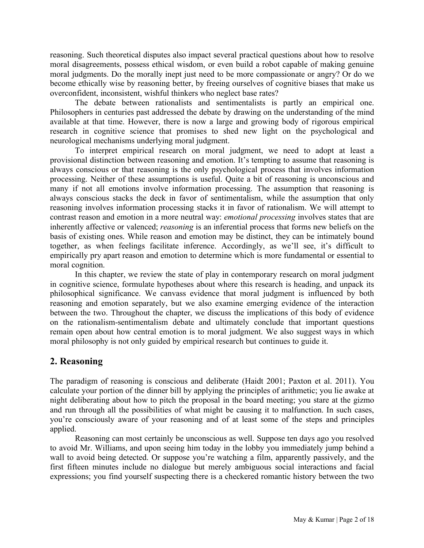reasoning. Such theoretical disputes also impact several practical questions about how to resolve moral disagreements, possess ethical wisdom, or even build a robot capable of making genuine moral judgments. Do the morally inept just need to be more compassionate or angry? Or do we become ethically wise by reasoning better, by freeing ourselves of cognitive biases that make us overconfident, inconsistent, wishful thinkers who neglect base rates?

The debate between rationalists and sentimentalists is partly an empirical one. Philosophers in centuries past addressed the debate by drawing on the understanding of the mind available at that time. However, there is now a large and growing body of rigorous empirical research in cognitive science that promises to shed new light on the psychological and neurological mechanisms underlying moral judgment.

To interpret empirical research on moral judgment, we need to adopt at least a provisional distinction between reasoning and emotion. It's tempting to assume that reasoning is always conscious or that reasoning is the only psychological process that involves information processing. Neither of these assumptions is useful. Quite a bit of reasoning is unconscious and many if not all emotions involve information processing. The assumption that reasoning is always conscious stacks the deck in favor of sentimentalism, while the assumption that only reasoning involves information processing stacks it in favor of rationalism. We will attempt to contrast reason and emotion in a more neutral way: *emotional processing* involves states that are inherently affective or valenced; *reasoning* is an inferential process that forms new beliefs on the basis of existing ones. While reason and emotion may be distinct, they can be intimately bound together, as when feelings facilitate inference. Accordingly, as we'll see, it's difficult to empirically pry apart reason and emotion to determine which is more fundamental or essential to moral cognition.

In this chapter, we review the state of play in contemporary research on moral judgment in cognitive science, formulate hypotheses about where this research is heading, and unpack its philosophical significance. We canvass evidence that moral judgment is influenced by both reasoning and emotion separately, but we also examine emerging evidence of the interaction between the two. Throughout the chapter, we discuss the implications of this body of evidence on the rationalism-sentimentalism debate and ultimately conclude that important questions remain open about how central emotion is to moral judgment. We also suggest ways in which moral philosophy is not only guided by empirical research but continues to guide it.

# **2. Reasoning**

The paradigm of reasoning is conscious and deliberate (Haidt 2001; Paxton et al. 2011). You calculate your portion of the dinner bill by applying the principles of arithmetic; you lie awake at night deliberating about how to pitch the proposal in the board meeting; you stare at the gizmo and run through all the possibilities of what might be causing it to malfunction. In such cases, you're consciously aware of your reasoning and of at least some of the steps and principles applied.

Reasoning can most certainly be unconscious as well. Suppose ten days ago you resolved to avoid Mr. Williams, and upon seeing him today in the lobby you immediately jump behind a wall to avoid being detected. Or suppose you're watching a film, apparently passively, and the first fifteen minutes include no dialogue but merely ambiguous social interactions and facial expressions; you find yourself suspecting there is a checkered romantic history between the two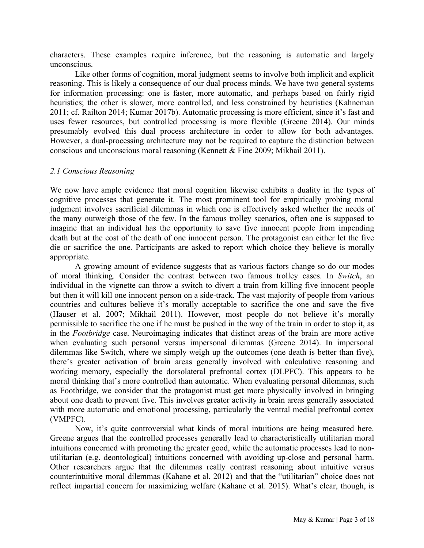characters. These examples require inference, but the reasoning is automatic and largely unconscious.

Like other forms of cognition, moral judgment seems to involve both implicit and explicit reasoning. This is likely a consequence of our dual process minds. We have two general systems for information processing: one is faster, more automatic, and perhaps based on fairly rigid heuristics; the other is slower, more controlled, and less constrained by heuristics (Kahneman 2011; cf. Railton 2014; Kumar 2017b). Automatic processing is more efficient, since it's fast and uses fewer resources, but controlled processing is more flexible (Greene 2014). Our minds presumably evolved this dual process architecture in order to allow for both advantages. However, a dual-processing architecture may not be required to capture the distinction between conscious and unconscious moral reasoning (Kennett & Fine 2009; Mikhail 2011).

#### *2.1 Conscious Reasoning*

We now have ample evidence that moral cognition likewise exhibits a duality in the types of cognitive processes that generate it. The most prominent tool for empirically probing moral judgment involves sacrificial dilemmas in which one is effectively asked whether the needs of the many outweigh those of the few. In the famous trolley scenarios, often one is supposed to imagine that an individual has the opportunity to save five innocent people from impending death but at the cost of the death of one innocent person. The protagonist can either let the five die or sacrifice the one. Participants are asked to report which choice they believe is morally appropriate.

A growing amount of evidence suggests that as various factors change so do our modes of moral thinking. Consider the contrast between two famous trolley cases. In *Switch*, an individual in the vignette can throw a switch to divert a train from killing five innocent people but then it will kill one innocent person on a side-track. The vast majority of people from various countries and cultures believe it's morally acceptable to sacrifice the one and save the five (Hauser et al. 2007; Mikhail 2011). However, most people do not believe it's morally permissible to sacrifice the one if he must be pushed in the way of the train in order to stop it, as in the *Footbridge* case. Neuroimaging indicates that distinct areas of the brain are more active when evaluating such personal versus impersonal dilemmas (Greene 2014). In impersonal dilemmas like Switch, where we simply weigh up the outcomes (one death is better than five), there's greater activation of brain areas generally involved with calculative reasoning and working memory, especially the dorsolateral prefrontal cortex (DLPFC). This appears to be moral thinking that's more controlled than automatic. When evaluating personal dilemmas, such as Footbridge, we consider that the protagonist must get more physically involved in bringing about one death to prevent five. This involves greater activity in brain areas generally associated with more automatic and emotional processing, particularly the ventral medial prefrontal cortex (VMPFC).

Now, it's quite controversial what kinds of moral intuitions are being measured here. Greene argues that the controlled processes generally lead to characteristically utilitarian moral intuitions concerned with promoting the greater good, while the automatic processes lead to nonutilitarian (e.g. deontological) intuitions concerned with avoiding up-close and personal harm. Other researchers argue that the dilemmas really contrast reasoning about intuitive versus counterintuitive moral dilemmas (Kahane et al. 2012) and that the "utilitarian" choice does not reflect impartial concern for maximizing welfare (Kahane et al. 2015). What's clear, though, is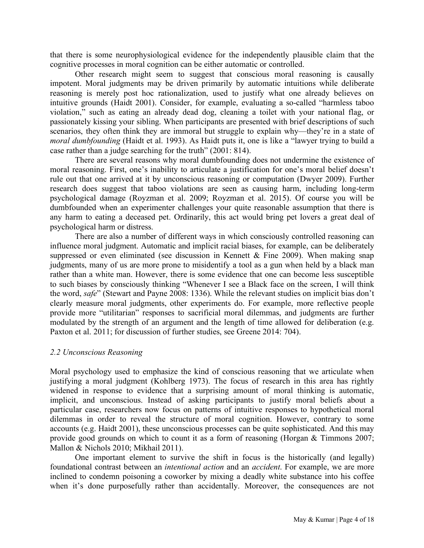that there is some neurophysiological evidence for the independently plausible claim that the cognitive processes in moral cognition can be either automatic or controlled.

Other research might seem to suggest that conscious moral reasoning is causally impotent. Moral judgments may be driven primarily by automatic intuitions while deliberate reasoning is merely post hoc rationalization, used to justify what one already believes on intuitive grounds (Haidt 2001). Consider, for example, evaluating a so-called "harmless taboo violation," such as eating an already dead dog, cleaning a toilet with your national flag, or passionately kissing your sibling. When participants are presented with brief descriptions of such scenarios, they often think they are immoral but struggle to explain why—they're in a state of *moral dumbfounding* (Haidt et al. 1993). As Haidt puts it, one is like a "lawyer trying to build a case rather than a judge searching for the truth" (2001: 814).

There are several reasons why moral dumbfounding does not undermine the existence of moral reasoning. First, one's inability to articulate a justification for one's moral belief doesn't rule out that one arrived at it by unconscious reasoning or computation (Dwyer 2009). Further research does suggest that taboo violations are seen as causing harm, including long-term psychological damage (Royzman et al. 2009; Royzman et al. 2015). Of course you will be dumbfounded when an experimenter challenges your quite reasonable assumption that there is any harm to eating a deceased pet. Ordinarily, this act would bring pet lovers a great deal of psychological harm or distress.

There are also a number of different ways in which consciously controlled reasoning can influence moral judgment. Automatic and implicit racial biases, for example, can be deliberately suppressed or even eliminated (see discussion in Kennett & Fine 2009). When making snap judgments, many of us are more prone to misidentify a tool as a gun when held by a black man rather than a white man. However, there is some evidence that one can become less susceptible to such biases by consciously thinking "Whenever I see a Black face on the screen, I will think the word, *safe*" (Stewart and Payne 2008: 1336). While the relevant studies on implicit bias don't clearly measure moral judgments, other experiments do. For example, more reflective people provide more "utilitarian" responses to sacrificial moral dilemmas, and judgments are further modulated by the strength of an argument and the length of time allowed for deliberation (e.g. Paxton et al. 2011; for discussion of further studies, see Greene 2014: 704).

#### *2.2 Unconscious Reasoning*

Moral psychology used to emphasize the kind of conscious reasoning that we articulate when justifying a moral judgment (Kohlberg 1973). The focus of research in this area has rightly widened in response to evidence that a surprising amount of moral thinking is automatic, implicit, and unconscious. Instead of asking participants to justify moral beliefs about a particular case, researchers now focus on patterns of intuitive responses to hypothetical moral dilemmas in order to reveal the structure of moral cognition. However, contrary to some accounts (e.g. Haidt 2001), these unconscious processes can be quite sophisticated. And this may provide good grounds on which to count it as a form of reasoning (Horgan & Timmons 2007; Mallon & Nichols 2010; Mikhail 2011).

One important element to survive the shift in focus is the historically (and legally) foundational contrast between an *intentional action* and an *accident*. For example, we are more inclined to condemn poisoning a coworker by mixing a deadly white substance into his coffee when it's done purposefully rather than accidentally. Moreover, the consequences are not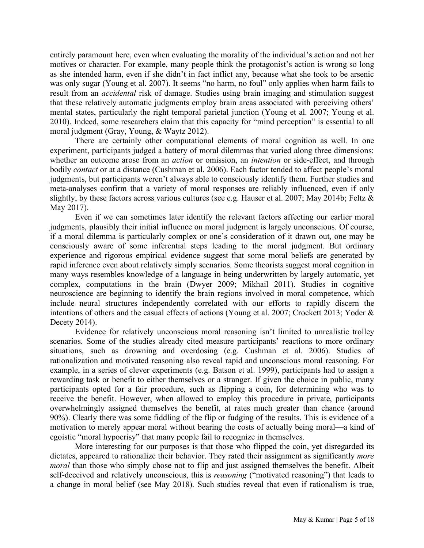entirely paramount here, even when evaluating the morality of the individual's action and not her motives or character. For example, many people think the protagonist's action is wrong so long as she intended harm, even if she didn't in fact inflict any, because what she took to be arsenic was only sugar (Young et al. 2007). It seems "no harm, no foul" only applies when harm fails to result from an *accidental* risk of damage. Studies using brain imaging and stimulation suggest that these relatively automatic judgments employ brain areas associated with perceiving others' mental states, particularly the right temporal parietal junction (Young et al. 2007; Young et al. 2010). Indeed, some researchers claim that this capacity for "mind perception" is essential to all moral judgment (Gray, Young, & Waytz 2012).

There are certainly other computational elements of moral cognition as well. In one experiment, participants judged a battery of moral dilemmas that varied along three dimensions: whether an outcome arose from an *action* or omission, an *intention* or side-effect, and through bodily *contact* or at a distance (Cushman et al. 2006). Each factor tended to affect people's moral judgments, but participants weren't always able to consciously identify them. Further studies and meta-analyses confirm that a variety of moral responses are reliably influenced, even if only slightly, by these factors across various cultures (see e.g. Hauser et al. 2007; May 2014b; Feltz & May 2017).

Even if we can sometimes later identify the relevant factors affecting our earlier moral judgments, plausibly their initial influence on moral judgment is largely unconscious. Of course, if a moral dilemma is particularly complex or one's consideration of it drawn out, one may be consciously aware of some inferential steps leading to the moral judgment. But ordinary experience and rigorous empirical evidence suggest that some moral beliefs are generated by rapid inference even about relatively simply scenarios. Some theorists suggest moral cognition in many ways resembles knowledge of a language in being underwritten by largely automatic, yet complex, computations in the brain (Dwyer 2009; Mikhail 2011). Studies in cognitive neuroscience are beginning to identify the brain regions involved in moral competence, which include neural structures independently correlated with our efforts to rapidly discern the intentions of others and the casual effects of actions (Young et al. 2007; Crockett 2013; Yoder & Decety 2014).

Evidence for relatively unconscious moral reasoning isn't limited to unrealistic trolley scenarios. Some of the studies already cited measure participants' reactions to more ordinary situations, such as drowning and overdosing (e.g. Cushman et al. 2006). Studies of rationalization and motivated reasoning also reveal rapid and unconscious moral reasoning. For example, in a series of clever experiments (e.g. Batson et al. 1999), participants had to assign a rewarding task or benefit to either themselves or a stranger. If given the choice in public, many participants opted for a fair procedure, such as flipping a coin, for determining who was to receive the benefit. However, when allowed to employ this procedure in private, participants overwhelmingly assigned themselves the benefit, at rates much greater than chance (around 90%). Clearly there was some fiddling of the flip or fudging of the results. This is evidence of a motivation to merely appear moral without bearing the costs of actually being moral—a kind of egoistic "moral hypocrisy" that many people fail to recognize in themselves.

More interesting for our purposes is that those who flipped the coin, yet disregarded its dictates, appeared to rationalize their behavior. They rated their assignment as significantly *more moral* than those who simply chose not to flip and just assigned themselves the benefit. Albeit self-deceived and relatively unconscious, this is *reasoning* ("motivated reasoning") that leads to a change in moral belief (see May 2018). Such studies reveal that even if rationalism is true,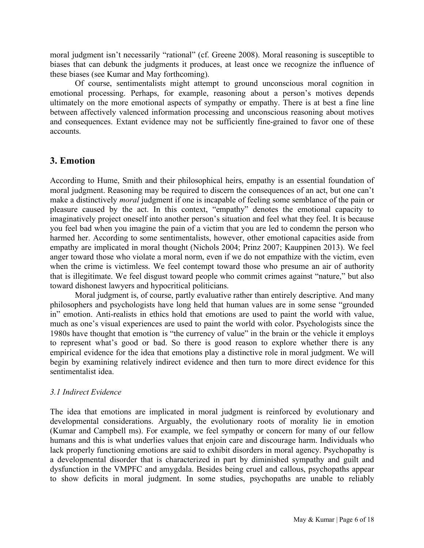moral judgment isn't necessarily "rational" (cf. Greene 2008). Moral reasoning is susceptible to biases that can debunk the judgments it produces, at least once we recognize the influence of these biases (see Kumar and May forthcoming).

Of course, sentimentalists might attempt to ground unconscious moral cognition in emotional processing. Perhaps, for example, reasoning about a person's motives depends ultimately on the more emotional aspects of sympathy or empathy. There is at best a fine line between affectively valenced information processing and unconscious reasoning about motives and consequences. Extant evidence may not be sufficiently fine-grained to favor one of these accounts.

# **3. Emotion**

According to Hume, Smith and their philosophical heirs, empathy is an essential foundation of moral judgment. Reasoning may be required to discern the consequences of an act, but one can't make a distinctively *moral* judgment if one is incapable of feeling some semblance of the pain or pleasure caused by the act. In this context, "empathy" denotes the emotional capacity to imaginatively project oneself into another person's situation and feel what they feel. It is because you feel bad when you imagine the pain of a victim that you are led to condemn the person who harmed her. According to some sentimentalists, however, other emotional capacities aside from empathy are implicated in moral thought (Nichols 2004; Prinz 2007; Kauppinen 2013). We feel anger toward those who violate a moral norm, even if we do not empathize with the victim, even when the crime is victimless. We feel contempt toward those who presume an air of authority that is illegitimate. We feel disgust toward people who commit crimes against "nature," but also toward dishonest lawyers and hypocritical politicians.

Moral judgment is, of course, partly evaluative rather than entirely descriptive. And many philosophers and psychologists have long held that human values are in some sense "grounded in" emotion. Anti-realists in ethics hold that emotions are used to paint the world with value, much as one's visual experiences are used to paint the world with color. Psychologists since the 1980s have thought that emotion is "the currency of value" in the brain or the vehicle it employs to represent what's good or bad. So there is good reason to explore whether there is any empirical evidence for the idea that emotions play a distinctive role in moral judgment. We will begin by examining relatively indirect evidence and then turn to more direct evidence for this sentimentalist idea.

## *3.1 Indirect Evidence*

The idea that emotions are implicated in moral judgment is reinforced by evolutionary and developmental considerations. Arguably, the evolutionary roots of morality lie in emotion (Kumar and Campbell ms). For example, we feel sympathy or concern for many of our fellow humans and this is what underlies values that enjoin care and discourage harm. Individuals who lack properly functioning emotions are said to exhibit disorders in moral agency. Psychopathy is a developmental disorder that is characterized in part by diminished sympathy and guilt and dysfunction in the VMPFC and amygdala. Besides being cruel and callous, psychopaths appear to show deficits in moral judgment. In some studies, psychopaths are unable to reliably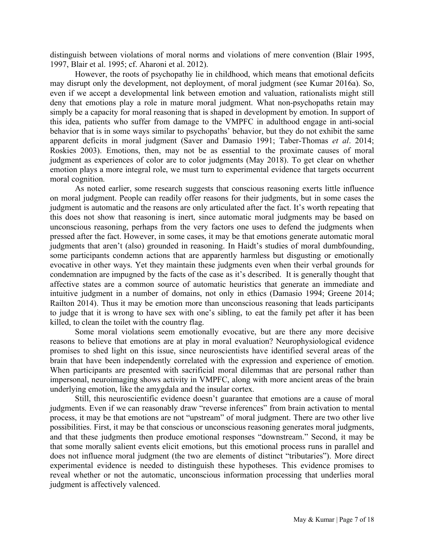distinguish between violations of moral norms and violations of mere convention (Blair 1995, 1997, Blair et al. 1995; cf. Aharoni et al. 2012).

However, the roots of psychopathy lie in childhood, which means that emotional deficits may disrupt only the development, not deployment, of moral judgment (see Kumar 2016a). So, even if we accept a developmental link between emotion and valuation, rationalists might still deny that emotions play a role in mature moral judgment. What non-psychopaths retain may simply be a capacity for moral reasoning that is shaped in development by emotion. In support of this idea, patients who suffer from damage to the VMPFC in adulthood engage in anti-social behavior that is in some ways similar to psychopaths' behavior, but they do not exhibit the same apparent deficits in moral judgment (Saver and Damasio 1991; Taber-Thomas *et al*. 2014; Roskies 2003). Emotions, then, may not be as essential to the proximate causes of moral judgment as experiences of color are to color judgments (May 2018). To get clear on whether emotion plays a more integral role, we must turn to experimental evidence that targets occurrent moral cognition.

As noted earlier, some research suggests that conscious reasoning exerts little influence on moral judgment. People can readily offer reasons for their judgments, but in some cases the judgment is automatic and the reasons are only articulated after the fact. It's worth repeating that this does not show that reasoning is inert, since automatic moral judgments may be based on unconscious reasoning, perhaps from the very factors one uses to defend the judgments when pressed after the fact. However, in some cases, it may be that emotions generate automatic moral judgments that aren't (also) grounded in reasoning. In Haidt's studies of moral dumbfounding, some participants condemn actions that are apparently harmless but disgusting or emotionally evocative in other ways. Yet they maintain these judgments even when their verbal grounds for condemnation are impugned by the facts of the case as it's described. It is generally thought that affective states are a common source of automatic heuristics that generate an immediate and intuitive judgment in a number of domains, not only in ethics (Damasio 1994; Greene 2014; Railton 2014). Thus it may be emotion more than unconscious reasoning that leads participants to judge that it is wrong to have sex with one's sibling, to eat the family pet after it has been killed, to clean the toilet with the country flag.

Some moral violations seem emotionally evocative, but are there any more decisive reasons to believe that emotions are at play in moral evaluation? Neurophysiological evidence promises to shed light on this issue, since neuroscientists have identified several areas of the brain that have been independently correlated with the expression and experience of emotion. When participants are presented with sacrificial moral dilemmas that are personal rather than impersonal, neuroimaging shows activity in VMPFC, along with more ancient areas of the brain underlying emotion, like the amygdala and the insular cortex.

Still, this neuroscientific evidence doesn't guarantee that emotions are a cause of moral judgments. Even if we can reasonably draw "reverse inferences" from brain activation to mental process, it may be that emotions are not "upstream" of moral judgment. There are two other live possibilities. First, it may be that conscious or unconscious reasoning generates moral judgments, and that these judgments then produce emotional responses "downstream." Second, it may be that some morally salient events elicit emotions, but this emotional process runs in parallel and does not influence moral judgment (the two are elements of distinct "tributaries"). More direct experimental evidence is needed to distinguish these hypotheses. This evidence promises to reveal whether or not the automatic, unconscious information processing that underlies moral judgment is affectively valenced.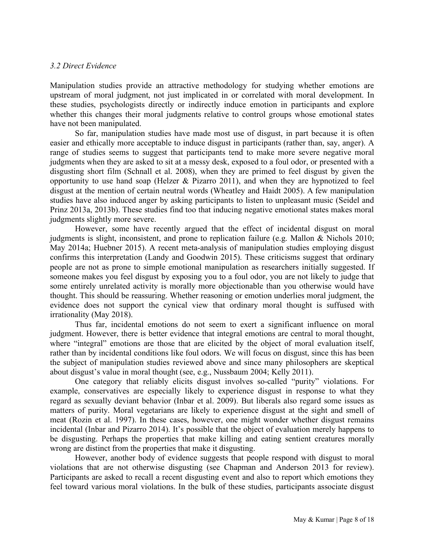#### *3.2 Direct Evidence*

Manipulation studies provide an attractive methodology for studying whether emotions are upstream of moral judgment, not just implicated in or correlated with moral development. In these studies, psychologists directly or indirectly induce emotion in participants and explore whether this changes their moral judgments relative to control groups whose emotional states have not been manipulated.

So far, manipulation studies have made most use of disgust, in part because it is often easier and ethically more acceptable to induce disgust in participants (rather than, say, anger). A range of studies seems to suggest that participants tend to make more severe negative moral judgments when they are asked to sit at a messy desk, exposed to a foul odor, or presented with a disgusting short film (Schnall et al. 2008), when they are primed to feel disgust by given the opportunity to use hand soap (Helzer & Pizarro 2011), and when they are hypnotized to feel disgust at the mention of certain neutral words (Wheatley and Haidt 2005). A few manipulation studies have also induced anger by asking participants to listen to unpleasant music (Seidel and Prinz 2013a, 2013b). These studies find too that inducing negative emotional states makes moral judgments slightly more severe.

However, some have recently argued that the effect of incidental disgust on moral judgments is slight, inconsistent, and prone to replication failure (e.g. Mallon & Nichols 2010; May 2014a; Huebner 2015). A recent meta-analysis of manipulation studies employing disgust confirms this interpretation (Landy and Goodwin 2015). These criticisms suggest that ordinary people are not as prone to simple emotional manipulation as researchers initially suggested. If someone makes you feel disgust by exposing you to a foul odor, you are not likely to judge that some entirely unrelated activity is morally more objectionable than you otherwise would have thought. This should be reassuring. Whether reasoning or emotion underlies moral judgment, the evidence does not support the cynical view that ordinary moral thought is suffused with irrationality (May 2018).

Thus far, incidental emotions do not seem to exert a significant influence on moral judgment. However, there is better evidence that integral emotions are central to moral thought, where "integral" emotions are those that are elicited by the object of moral evaluation itself, rather than by incidental conditions like foul odors. We will focus on disgust, since this has been the subject of manipulation studies reviewed above and since many philosophers are skeptical about disgust's value in moral thought (see, e.g., Nussbaum 2004; Kelly 2011).

One category that reliably elicits disgust involves so-called "purity" violations. For example, conservatives are especially likely to experience disgust in response to what they regard as sexually deviant behavior (Inbar et al. 2009). But liberals also regard some issues as matters of purity. Moral vegetarians are likely to experience disgust at the sight and smell of meat (Rozin et al. 1997). In these cases, however, one might wonder whether disgust remains incidental (Inbar and Pizarro 2014). It's possible that the object of evaluation merely happens to be disgusting. Perhaps the properties that make killing and eating sentient creatures morally wrong are distinct from the properties that make it disgusting.

However, another body of evidence suggests that people respond with disgust to moral violations that are not otherwise disgusting (see Chapman and Anderson 2013 for review). Participants are asked to recall a recent disgusting event and also to report which emotions they feel toward various moral violations. In the bulk of these studies, participants associate disgust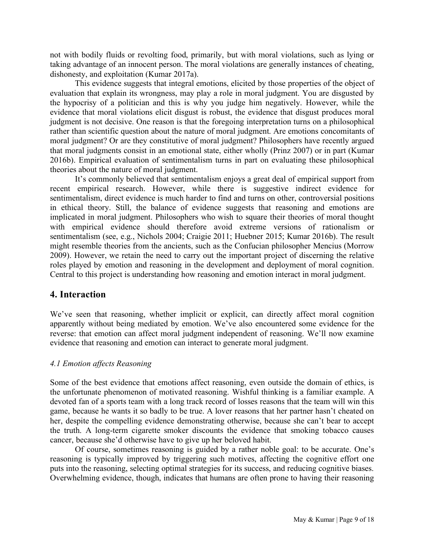not with bodily fluids or revolting food, primarily, but with moral violations, such as lying or taking advantage of an innocent person. The moral violations are generally instances of cheating, dishonesty, and exploitation (Kumar 2017a).

This evidence suggests that integral emotions, elicited by those properties of the object of evaluation that explain its wrongness, may play a role in moral judgment. You are disgusted by the hypocrisy of a politician and this is why you judge him negatively. However, while the evidence that moral violations elicit disgust is robust, the evidence that disgust produces moral judgment is not decisive. One reason is that the foregoing interpretation turns on a philosophical rather than scientific question about the nature of moral judgment. Are emotions concomitants of moral judgment? Or are they constitutive of moral judgment? Philosophers have recently argued that moral judgments consist in an emotional state, either wholly (Prinz 2007) or in part (Kumar 2016b). Empirical evaluation of sentimentalism turns in part on evaluating these philosophical theories about the nature of moral judgment.

It's commonly believed that sentimentalism enjoys a great deal of empirical support from recent empirical research. However, while there is suggestive indirect evidence for sentimentalism, direct evidence is much harder to find and turns on other, controversial positions in ethical theory. Still, the balance of evidence suggests that reasoning and emotions are implicated in moral judgment. Philosophers who wish to square their theories of moral thought with empirical evidence should therefore avoid extreme versions of rationalism or sentimentalism (see, e.g., Nichols 2004; Craigie 2011; Huebner 2015; Kumar 2016b). The result might resemble theories from the ancients, such as the Confucian philosopher Mencius (Morrow 2009). However, we retain the need to carry out the important project of discerning the relative roles played by emotion and reasoning in the development and deployment of moral cognition. Central to this project is understanding how reasoning and emotion interact in moral judgment.

## **4. Interaction**

We've seen that reasoning, whether implicit or explicit, can directly affect moral cognition apparently without being mediated by emotion. We've also encountered some evidence for the reverse: that emotion can affect moral judgment independent of reasoning. We'll now examine evidence that reasoning and emotion can interact to generate moral judgment.

## *4.1 Emotion affects Reasoning*

Some of the best evidence that emotions affect reasoning, even outside the domain of ethics, is the unfortunate phenomenon of motivated reasoning. Wishful thinking is a familiar example. A devoted fan of a sports team with a long track record of losses reasons that the team will win this game, because he wants it so badly to be true. A lover reasons that her partner hasn't cheated on her, despite the compelling evidence demonstrating otherwise, because she can't bear to accept the truth. A long-term cigarette smoker discounts the evidence that smoking tobacco causes cancer, because she'd otherwise have to give up her beloved habit.

Of course, sometimes reasoning is guided by a rather noble goal: to be accurate. One's reasoning is typically improved by triggering such motives, affecting the cognitive effort one puts into the reasoning, selecting optimal strategies for its success, and reducing cognitive biases. Overwhelming evidence, though, indicates that humans are often prone to having their reasoning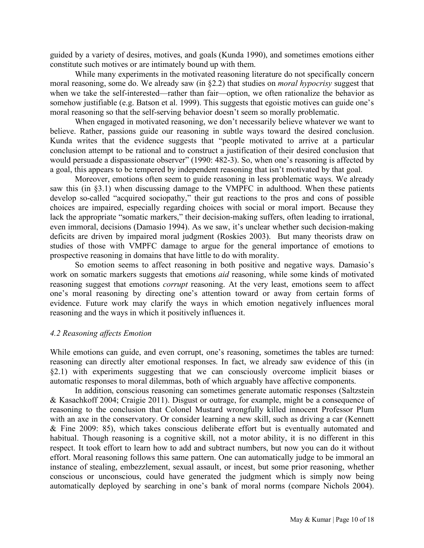guided by a variety of desires, motives, and goals (Kunda 1990), and sometimes emotions either constitute such motives or are intimately bound up with them.

While many experiments in the motivated reasoning literature do not specifically concern moral reasoning, some do. We already saw (in §2.2) that studies on *moral hypocrisy* suggest that when we take the self-interested—rather than fair—option, we often rationalize the behavior as somehow justifiable (e.g. Batson et al. 1999). This suggests that egoistic motives can guide one's moral reasoning so that the self-serving behavior doesn't seem so morally problematic.

When engaged in motivated reasoning, we don't necessarily believe whatever we want to believe. Rather, passions guide our reasoning in subtle ways toward the desired conclusion. Kunda writes that the evidence suggests that "people motivated to arrive at a particular conclusion attempt to be rational and to construct a justification of their desired conclusion that would persuade a dispassionate observer" (1990: 482-3). So, when one's reasoning is affected by a goal, this appears to be tempered by independent reasoning that isn't motivated by that goal.

Moreover, emotions often seem to guide reasoning in less problematic ways. We already saw this (in §3.1) when discussing damage to the VMPFC in adulthood. When these patients develop so-called "acquired sociopathy," their gut reactions to the pros and cons of possible choices are impaired, especially regarding choices with social or moral import. Because they lack the appropriate "somatic markers," their decision-making suffers, often leading to irrational, even immoral, decisions (Damasio 1994). As we saw, it's unclear whether such decision-making deficits are driven by impaired moral judgment (Roskies 2003). But many theorists draw on studies of those with VMPFC damage to argue for the general importance of emotions to prospective reasoning in domains that have little to do with morality.

So emotion seems to affect reasoning in both positive and negative ways. Damasio's work on somatic markers suggests that emotions *aid* reasoning, while some kinds of motivated reasoning suggest that emotions *corrupt* reasoning. At the very least, emotions seem to affect one's moral reasoning by directing one's attention toward or away from certain forms of evidence. Future work may clarify the ways in which emotion negatively influences moral reasoning and the ways in which it positively influences it.

#### *4.2 Reasoning affects Emotion*

While emotions can guide, and even corrupt, one's reasoning, sometimes the tables are turned: reasoning can directly alter emotional responses. In fact, we already saw evidence of this (in §2.1) with experiments suggesting that we can consciously overcome implicit biases or automatic responses to moral dilemmas, both of which arguably have affective components.

In addition, conscious reasoning can sometimes generate automatic responses (Saltzstein & Kasachkoff 2004; Craigie 2011). Disgust or outrage, for example, might be a consequence of reasoning to the conclusion that Colonel Mustard wrongfully killed innocent Professor Plum with an axe in the conservatory. Or consider learning a new skill, such as driving a car (Kennett & Fine 2009: 85), which takes conscious deliberate effort but is eventually automated and habitual. Though reasoning is a cognitive skill, not a motor ability, it is no different in this respect. It took effort to learn how to add and subtract numbers, but now you can do it without effort. Moral reasoning follows this same pattern. One can automatically judge to be immoral an instance of stealing, embezzlement, sexual assault, or incest, but some prior reasoning, whether conscious or unconscious, could have generated the judgment which is simply now being automatically deployed by searching in one's bank of moral norms (compare Nichols 2004).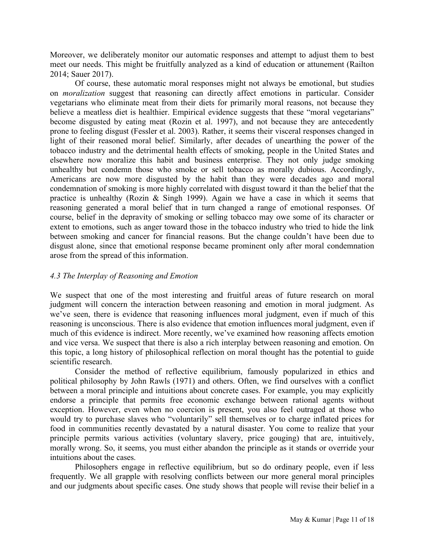Moreover, we deliberately monitor our automatic responses and attempt to adjust them to best meet our needs. This might be fruitfully analyzed as a kind of education or attunement (Railton 2014; Sauer 2017).

Of course, these automatic moral responses might not always be emotional, but studies on *moralization* suggest that reasoning can directly affect emotions in particular. Consider vegetarians who eliminate meat from their diets for primarily moral reasons, not because they believe a meatless diet is healthier. Empirical evidence suggests that these "moral vegetarians" become disgusted by eating meat (Rozin et al. 1997), and not because they are antecedently prone to feeling disgust (Fessler et al. 2003). Rather, it seems their visceral responses changed in light of their reasoned moral belief. Similarly, after decades of unearthing the power of the tobacco industry and the detrimental health effects of smoking, people in the United States and elsewhere now moralize this habit and business enterprise. They not only judge smoking unhealthy but condemn those who smoke or sell tobacco as morally dubious. Accordingly, Americans are now more disgusted by the habit than they were decades ago and moral condemnation of smoking is more highly correlated with disgust toward it than the belief that the practice is unhealthy (Rozin & Singh 1999). Again we have a case in which it seems that reasoning generated a moral belief that in turn changed a range of emotional responses. Of course, belief in the depravity of smoking or selling tobacco may owe some of its character or extent to emotions, such as anger toward those in the tobacco industry who tried to hide the link between smoking and cancer for financial reasons. But the change couldn't have been due to disgust alone, since that emotional response became prominent only after moral condemnation arose from the spread of this information.

## *4.3 The Interplay of Reasoning and Emotion*

We suspect that one of the most interesting and fruitful areas of future research on moral judgment will concern the interaction between reasoning and emotion in moral judgment. As we've seen, there is evidence that reasoning influences moral judgment, even if much of this reasoning is unconscious. There is also evidence that emotion influences moral judgment, even if much of this evidence is indirect. More recently, we've examined how reasoning affects emotion and vice versa. We suspect that there is also a rich interplay between reasoning and emotion. On this topic, a long history of philosophical reflection on moral thought has the potential to guide scientific research.

Consider the method of reflective equilibrium, famously popularized in ethics and political philosophy by John Rawls (1971) and others. Often, we find ourselves with a conflict between a moral principle and intuitions about concrete cases. For example, you may explicitly endorse a principle that permits free economic exchange between rational agents without exception. However, even when no coercion is present, you also feel outraged at those who would try to purchase slaves who "voluntarily" sell themselves or to charge inflated prices for food in communities recently devastated by a natural disaster. You come to realize that your principle permits various activities (voluntary slavery, price gouging) that are, intuitively, morally wrong. So, it seems, you must either abandon the principle as it stands or override your intuitions about the cases.

Philosophers engage in reflective equilibrium, but so do ordinary people, even if less frequently. We all grapple with resolving conflicts between our more general moral principles and our judgments about specific cases. One study shows that people will revise their belief in a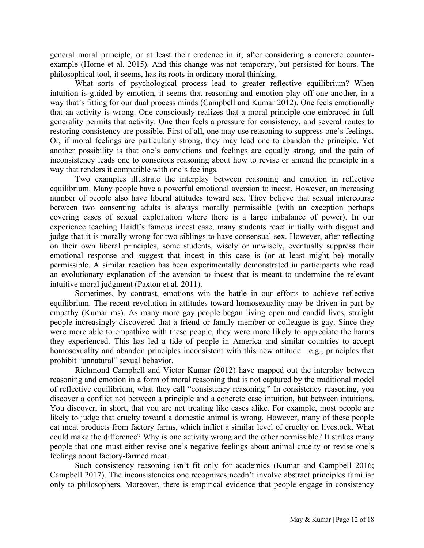general moral principle, or at least their credence in it, after considering a concrete counterexample (Horne et al. 2015). And this change was not temporary, but persisted for hours. The philosophical tool, it seems, has its roots in ordinary moral thinking.

What sorts of psychological process lead to greater reflective equilibrium? When intuition is guided by emotion, it seems that reasoning and emotion play off one another, in a way that's fitting for our dual process minds (Campbell and Kumar 2012). One feels emotionally that an activity is wrong. One consciously realizes that a moral principle one embraced in full generality permits that activity. One then feels a pressure for consistency, and several routes to restoring consistency are possible. First of all, one may use reasoning to suppress one's feelings. Or, if moral feelings are particularly strong, they may lead one to abandon the principle. Yet another possibility is that one's convictions and feelings are equally strong, and the pain of inconsistency leads one to conscious reasoning about how to revise or amend the principle in a way that renders it compatible with one's feelings.

Two examples illustrate the interplay between reasoning and emotion in reflective equilibrium. Many people have a powerful emotional aversion to incest. However, an increasing number of people also have liberal attitudes toward sex. They believe that sexual intercourse between two consenting adults is always morally permissible (with an exception perhaps covering cases of sexual exploitation where there is a large imbalance of power). In our experience teaching Haidt's famous incest case, many students react initially with disgust and judge that it is morally wrong for two siblings to have consensual sex. However, after reflecting on their own liberal principles, some students, wisely or unwisely, eventually suppress their emotional response and suggest that incest in this case is (or at least might be) morally permissible. A similar reaction has been experimentally demonstrated in participants who read an evolutionary explanation of the aversion to incest that is meant to undermine the relevant intuitive moral judgment (Paxton et al. 2011).

Sometimes, by contrast, emotions win the battle in our efforts to achieve reflective equilibrium. The recent revolution in attitudes toward homosexuality may be driven in part by empathy (Kumar ms). As many more gay people began living open and candid lives, straight people increasingly discovered that a friend or family member or colleague is gay. Since they were more able to empathize with these people, they were more likely to appreciate the harms they experienced. This has led a tide of people in America and similar countries to accept homosexuality and abandon principles inconsistent with this new attitude—e.g., principles that prohibit "unnatural" sexual behavior.

Richmond Campbell and Victor Kumar (2012) have mapped out the interplay between reasoning and emotion in a form of moral reasoning that is not captured by the traditional model of reflective equilibrium, what they call "consistency reasoning." In consistency reasoning, you discover a conflict not between a principle and a concrete case intuition, but between intuitions. You discover, in short, that you are not treating like cases alike. For example, most people are likely to judge that cruelty toward a domestic animal is wrong. However, many of these people eat meat products from factory farms, which inflict a similar level of cruelty on livestock. What could make the difference? Why is one activity wrong and the other permissible? It strikes many people that one must either revise one's negative feelings about animal cruelty or revise one's feelings about factory-farmed meat.

Such consistency reasoning isn't fit only for academics (Kumar and Campbell 2016; Campbell 2017). The inconsistencies one recognizes needn't involve abstract principles familiar only to philosophers. Moreover, there is empirical evidence that people engage in consistency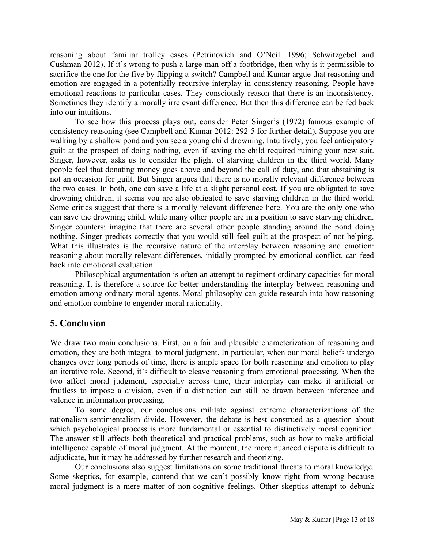reasoning about familiar trolley cases (Petrinovich and O'Neill 1996; Schwitzgebel and Cushman 2012). If it's wrong to push a large man off a footbridge, then why is it permissible to sacrifice the one for the five by flipping a switch? Campbell and Kumar argue that reasoning and emotion are engaged in a potentially recursive interplay in consistency reasoning. People have emotional reactions to particular cases. They consciously reason that there is an inconsistency. Sometimes they identify a morally irrelevant difference. But then this difference can be fed back into our intuitions.

To see how this process plays out, consider Peter Singer's (1972) famous example of consistency reasoning (see Campbell and Kumar 2012: 292-5 for further detail). Suppose you are walking by a shallow pond and you see a young child drowning. Intuitively, you feel anticipatory guilt at the prospect of doing nothing, even if saving the child required ruining your new suit. Singer, however, asks us to consider the plight of starving children in the third world. Many people feel that donating money goes above and beyond the call of duty, and that abstaining is not an occasion for guilt. But Singer argues that there is no morally relevant difference between the two cases. In both, one can save a life at a slight personal cost. If you are obligated to save drowning children, it seems you are also obligated to save starving children in the third world. Some critics suggest that there is a morally relevant difference here. You are the only one who can save the drowning child, while many other people are in a position to save starving children. Singer counters: imagine that there are several other people standing around the pond doing nothing. Singer predicts correctly that you would still feel guilt at the prospect of not helping. What this illustrates is the recursive nature of the interplay between reasoning and emotion: reasoning about morally relevant differences, initially prompted by emotional conflict, can feed back into emotional evaluation.

Philosophical argumentation is often an attempt to regiment ordinary capacities for moral reasoning. It is therefore a source for better understanding the interplay between reasoning and emotion among ordinary moral agents. Moral philosophy can guide research into how reasoning and emotion combine to engender moral rationality.

# **5. Conclusion**

We draw two main conclusions. First, on a fair and plausible characterization of reasoning and emotion, they are both integral to moral judgment. In particular, when our moral beliefs undergo changes over long periods of time, there is ample space for both reasoning and emotion to play an iterative role. Second, it's difficult to cleave reasoning from emotional processing. When the two affect moral judgment, especially across time, their interplay can make it artificial or fruitless to impose a division, even if a distinction can still be drawn between inference and valence in information processing.

To some degree, our conclusions militate against extreme characterizations of the rationalism-sentimentalism divide. However, the debate is best construed as a question about which psychological process is more fundamental or essential to distinctively moral cognition. The answer still affects both theoretical and practical problems, such as how to make artificial intelligence capable of moral judgment. At the moment, the more nuanced dispute is difficult to adjudicate, but it may be addressed by further research and theorizing.

Our conclusions also suggest limitations on some traditional threats to moral knowledge. Some skeptics, for example, contend that we can't possibly know right from wrong because moral judgment is a mere matter of non-cognitive feelings. Other skeptics attempt to debunk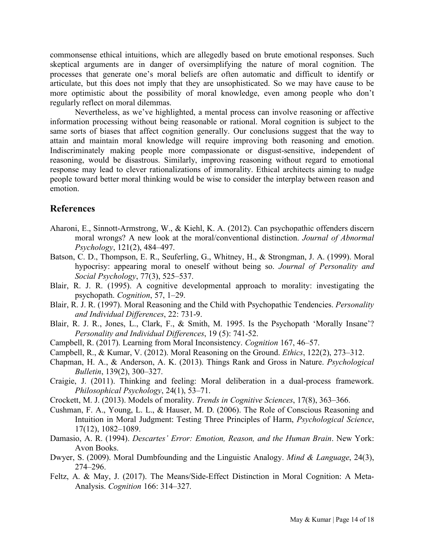commonsense ethical intuitions, which are allegedly based on brute emotional responses. Such skeptical arguments are in danger of oversimplifying the nature of moral cognition. The processes that generate one's moral beliefs are often automatic and difficult to identify or articulate, but this does not imply that they are unsophisticated. So we may have cause to be more optimistic about the possibility of moral knowledge, even among people who don't regularly reflect on moral dilemmas.

Nevertheless, as we've highlighted, a mental process can involve reasoning or affective information processing without being reasonable or rational. Moral cognition is subject to the same sorts of biases that affect cognition generally. Our conclusions suggest that the way to attain and maintain moral knowledge will require improving both reasoning and emotion. Indiscriminately making people more compassionate or disgust-sensitive, independent of reasoning, would be disastrous. Similarly, improving reasoning without regard to emotional response may lead to clever rationalizations of immorality. Ethical architects aiming to nudge people toward better moral thinking would be wise to consider the interplay between reason and emotion.

# **References**

- Aharoni, E., Sinnott-Armstrong, W., & Kiehl, K. A. (2012). Can psychopathic offenders discern moral wrongs? A new look at the moral/conventional distinction. *Journal of Abnormal Psychology*, 121(2), 484–497.
- Batson, C. D., Thompson, E. R., Seuferling, G., Whitney, H., & Strongman, J. A. (1999). Moral hypocrisy: appearing moral to oneself without being so. *Journal of Personality and Social Psychology*, 77(3), 525–537.
- Blair, R. J. R. (1995). A cognitive developmental approach to morality: investigating the psychopath. *Cognition*, 57, 1–29.
- Blair, R. J. R. (1997). Moral Reasoning and the Child with Psychopathic Tendencies. *Personality and Individual Differences*, 22: 731-9.
- Blair, R. J. R., Jones, L., Clark, F., & Smith, M. 1995. Is the Psychopath 'Morally Insane'? *Personality and Individual Differences*, 19 (5): 741-52.
- Campbell, R. (2017). Learning from Moral Inconsistency. *Cognition* 167, 46–57.
- Campbell, R., & Kumar, V. (2012). Moral Reasoning on the Ground. *Ethics*, 122(2), 273–312.
- Chapman, H. A., & Anderson, A. K. (2013). Things Rank and Gross in Nature. *Psychological Bulletin*, 139(2), 300–327.
- Craigie, J. (2011). Thinking and feeling: Moral deliberation in a dual-process framework. *Philosophical Psychology*, 24(1), 53–71.
- Crockett, M. J. (2013). Models of morality. *Trends in Cognitive Sciences*, 17(8), 363–366.
- Cushman, F. A., Young, L. L., & Hauser, M. D. (2006). The Role of Conscious Reasoning and Intuition in Moral Judgment: Testing Three Principles of Harm, *Psychological Science*, 17(12), 1082–1089.
- Damasio, A. R. (1994). *Descartes' Error: Emotion, Reason, and the Human Brain*. New York: Avon Books.
- Dwyer, S. (2009). Moral Dumbfounding and the Linguistic Analogy. *Mind & Language*, 24(3), 274–296.
- Feltz, A. & May, J. (2017). The Means/Side-Effect Distinction in Moral Cognition: A Meta-Analysis. *Cognition* 166: 314–327.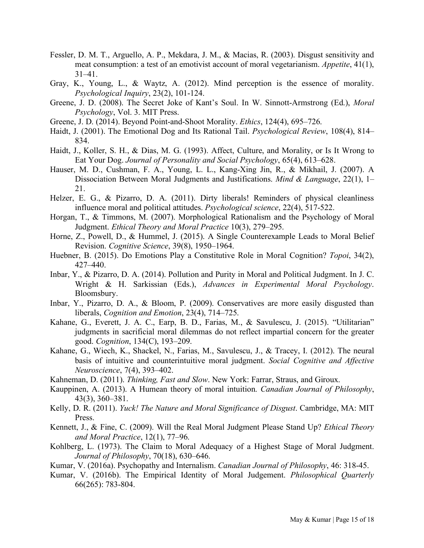- Fessler, D. M. T., Arguello, A. P., Mekdara, J. M., & Macias, R. (2003). Disgust sensitivity and meat consumption: a test of an emotivist account of moral vegetarianism. *Appetite*, 41(1), 31–41.
- Gray, K., Young, L., & Waytz, A. (2012). Mind perception is the essence of morality. *Psychological Inquiry*, 23(2), 101-124.
- Greene, J. D. (2008). The Secret Joke of Kant's Soul. In W. Sinnott-Armstrong (Ed.), *Moral Psychology*, Vol. 3. MIT Press.
- Greene, J. D. (2014). Beyond Point-and-Shoot Morality. *Ethics*, 124(4), 695–726.
- Haidt, J. (2001). The Emotional Dog and Its Rational Tail. *Psychological Review*, 108(4), 814– 834.
- Haidt, J., Koller, S. H., & Dias, M. G. (1993). Affect, Culture, and Morality, or Is It Wrong to Eat Your Dog. *Journal of Personality and Social Psychology*, 65(4), 613–628.
- Hauser, M. D., Cushman, F. A., Young, L. L., Kang-Xing Jin, R., & Mikhail, J. (2007). A Dissociation Between Moral Judgments and Justifications. *Mind & Language*, 22(1), 1– 21.
- Helzer, E. G., & Pizarro, D. A. (2011). Dirty liberals! Reminders of physical cleanliness influence moral and political attitudes. *Psychological science*, 22(4), 517-522.
- Horgan, T., & Timmons, M. (2007). Morphological Rationalism and the Psychology of Moral Judgment. *Ethical Theory and Moral Practice* 10(3), 279–295.
- Horne, Z., Powell, D., & Hummel, J. (2015). A Single Counterexample Leads to Moral Belief Revision. *Cognitive Science*, 39(8), 1950–1964.
- Huebner, B. (2015). Do Emotions Play a Constitutive Role in Moral Cognition? *Topoi*, 34(2), 427–440.
- Inbar, Y., & Pizarro, D. A. (2014). Pollution and Purity in Moral and Political Judgment. In J. C. Wright & H. Sarkissian (Eds.), *Advances in Experimental Moral Psychology*. Bloomsbury.
- Inbar, Y., Pizarro, D. A., & Bloom, P. (2009). Conservatives are more easily disgusted than liberals, *Cognition and Emotion*, 23(4), 714–725.
- Kahane, G., Everett, J. A. C., Earp, B. D., Farias, M., & Savulescu, J. (2015). "Utilitarian" judgments in sacrificial moral dilemmas do not reflect impartial concern for the greater good. *Cognition*, 134(C), 193–209.
- Kahane, G., Wiech, K., Shackel, N., Farias, M., Savulescu, J., & Tracey, I. (2012). The neural basis of intuitive and counterintuitive moral judgment. *Social Cognitive and Affective Neuroscience*, 7(4), 393–402.
- Kahneman, D. (2011). *Thinking, Fast and Slow*. New York: Farrar, Straus, and Giroux.
- Kauppinen, A. (2013). A Humean theory of moral intuition. *Canadian Journal of Philosophy*, 43(3), 360–381.
- Kelly, D. R. (2011). *Yuck! The Nature and Moral Significance of Disgust*. Cambridge, MA: MIT Press.
- Kennett, J., & Fine, C. (2009). Will the Real Moral Judgment Please Stand Up? *Ethical Theory and Moral Practice*, 12(1), 77–96.
- Kohlberg, L. (1973). The Claim to Moral Adequacy of a Highest Stage of Moral Judgment. *Journal of Philosophy*, 70(18), 630–646.
- Kumar, V. (2016a). Psychopathy and Internalism. *Canadian Journal of Philosophy*, 46: 318-45.
- Kumar, V. (2016b). The Empirical Identity of Moral Judgement. *Philosophical Quarterly* 66(265): 783-804.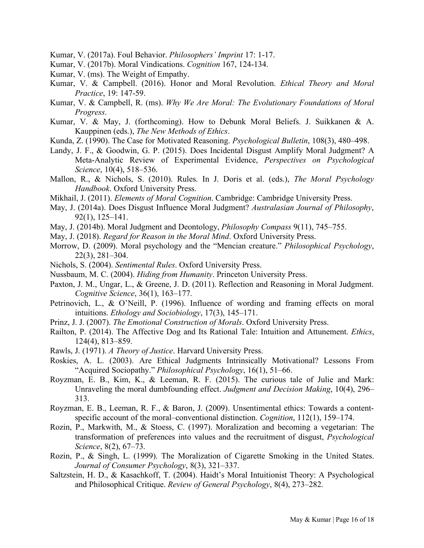- Kumar, V. (2017a). Foul Behavior. *Philosophers' Imprint* 17: 1-17.
- Kumar, V. (2017b). Moral Vindications. *Cognition* 167, 124-134.
- Kumar, V. (ms). The Weight of Empathy.
- Kumar, V. & Campbell. (2016). Honor and Moral Revolution. *Ethical Theory and Moral Practice*, 19: 147-59.
- Kumar, V. & Campbell, R. (ms). *Why We Are Moral: The Evolutionary Foundations of Moral Progress*.
- Kumar, V. & May, J. (forthcoming). How to Debunk Moral Beliefs. J. Suikkanen & A. Kauppinen (eds.), *The New Methods of Ethics*.
- Kunda, Z. (1990). The Case for Motivated Reasoning. *Psychological Bulletin*, 108(3), 480–498.
- Landy, J. F., & Goodwin, G. P. (2015). Does Incidental Disgust Amplify Moral Judgment? A Meta-Analytic Review of Experimental Evidence, *Perspectives on Psychological Science*, 10(4), 518–536.
- Mallon, R., & Nichols, S. (2010). Rules. In J. Doris et al. (eds.), *The Moral Psychology Handbook*. Oxford University Press.
- Mikhail, J. (2011). *Elements of Moral Cognition*. Cambridge: Cambridge University Press.
- May, J. (2014a). Does Disgust Influence Moral Judgment? *Australasian Journal of Philosophy*, 92(1), 125–141.
- May, J. (2014b). Moral Judgment and Deontology, *Philosophy Compass* 9(11), 745–755.
- May, J. (2018). *Regard for Reason in the Moral Mind*. Oxford University Press.
- Morrow, D. (2009). Moral psychology and the "Mencian creature." *Philosophical Psychology*, 22(3), 281–304.
- Nichols, S. (2004). *Sentimental Rules*. Oxford University Press.
- Nussbaum, M. C. (2004). *Hiding from Humanity*. Princeton University Press.
- Paxton, J. M., Ungar, L., & Greene, J. D. (2011). Reflection and Reasoning in Moral Judgment. *Cognitive Science*, 36(1), 163–177.
- Petrinovich, L., & O'Neill, P. (1996). Influence of wording and framing effects on moral intuitions. *Ethology and Sociobiology*, 17(3), 145–171.
- Prinz, J. J. (2007). *The Emotional Construction of Morals*. Oxford University Press.
- Railton, P. (2014). The Affective Dog and Its Rational Tale: Intuition and Attunement. *Ethics*, 124(4), 813–859.
- Rawls, J. (1971). *A Theory of Justice*. Harvard University Press.
- Roskies, A. L. (2003). Are Ethical Judgments Intrinsically Motivational? Lessons From "Acquired Sociopathy." *Philosophical Psychology*, 16(1), 51–66.
- Royzman, E. B., Kim, K., & Leeman, R. F. (2015). The curious tale of Julie and Mark: Unraveling the moral dumbfounding effect. *Judgment and Decision Making*, 10(4), 296– 313.
- Royzman, E. B., Leeman, R. F., & Baron, J. (2009). Unsentimental ethics: Towards a contentspecific account of the moral–conventional distinction. *Cognition*, 112(1), 159–174.
- Rozin, P., Markwith, M., & Stoess, C. (1997). Moralization and becoming a vegetarian: The transformation of preferences into values and the recruitment of disgust, *Psychological Science*, 8(2), 67–73.
- Rozin, P., & Singh, L. (1999). The Moralization of Cigarette Smoking in the United States. *Journal of Consumer Psychology*, 8(3), 321–337.
- Saltzstein, H. D., & Kasachkoff, T. (2004). Haidt's Moral Intuitionist Theory: A Psychological and Philosophical Critique. *Review of General Psychology*, 8(4), 273–282.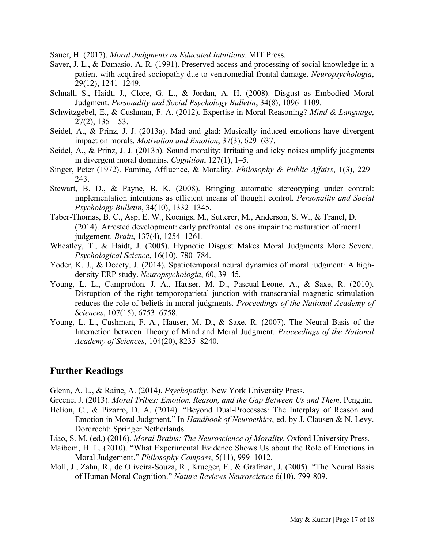Sauer, H. (2017). *Moral Judgments as Educated Intuitions*. MIT Press.

- Saver, J. L., & Damasio, A. R. (1991). Preserved access and processing of social knowledge in a patient with acquired sociopathy due to ventromedial frontal damage. *Neuropsychologia*, 29(12), 1241–1249.
- Schnall, S., Haidt, J., Clore, G. L., & Jordan, A. H. (2008). Disgust as Embodied Moral Judgment. *Personality and Social Psychology Bulletin*, 34(8), 1096–1109.
- Schwitzgebel, E., & Cushman, F. A. (2012). Expertise in Moral Reasoning? *Mind & Language*, 27(2), 135–153.
- Seidel, A., & Prinz, J. J. (2013a). Mad and glad: Musically induced emotions have divergent impact on morals. *Motivation and Emotion*, 37(3), 629–637.
- Seidel, A., & Prinz, J. J. (2013b). Sound morality: Irritating and icky noises amplify judgments in divergent moral domains. *Cognition*, 127(1), 1–5.
- Singer, Peter (1972). Famine, Affluence, & Morality. *Philosophy & Public Affairs*, 1(3), 229– 243.
- Stewart, B. D., & Payne, B. K. (2008). Bringing automatic stereotyping under control: implementation intentions as efficient means of thought control. *Personality and Social Psychology Bulletin*, 34(10), 1332–1345.
- Taber-Thomas, B. C., Asp, E. W., Koenigs, M., Sutterer, M., Anderson, S. W., & Tranel, D. (2014). Arrested development: early prefrontal lesions impair the maturation of moral judgement. *Brain*, 137(4), 1254–1261.
- Wheatley, T., & Haidt, J. (2005). Hypnotic Disgust Makes Moral Judgments More Severe. *Psychological Science*, 16(10), 780–784.
- Yoder, K. J., & Decety, J. (2014). Spatiotemporal neural dynamics of moral judgment: A highdensity ERP study. *Neuropsychologia*, 60, 39–45.
- Young, L. L., Camprodon, J. A., Hauser, M. D., Pascual-Leone, A., & Saxe, R. (2010). Disruption of the right temporoparietal junction with transcranial magnetic stimulation reduces the role of beliefs in moral judgments. *Proceedings of the National Academy of Sciences*, 107(15), 6753–6758.
- Young, L. L., Cushman, F. A., Hauser, M. D., & Saxe, R. (2007). The Neural Basis of the Interaction between Theory of Mind and Moral Judgment. *Proceedings of the National Academy of Sciences*, 104(20), 8235–8240.

## **Further Readings**

Glenn, A. L., & Raine, A. (2014). *Psychopathy*. New York University Press.

Greene, J. (2013). *Moral Tribes: Emotion, Reason, and the Gap Between Us and Them*. Penguin.

- Helion, C., & Pizarro, D. A. (2014). "Beyond Dual-Processes: The Interplay of Reason and Emotion in Moral Judgment." In *Handbook of Neuroethics*, ed. by J. Clausen & N. Levy. Dordrecht: Springer Netherlands.
- Liao, S. M. (ed.) (2016). *Moral Brains: The Neuroscience of Morality*. Oxford University Press.
- Maibom, H. L. (2010). "What Experimental Evidence Shows Us about the Role of Emotions in Moral Judgement." *Philosophy Compass*, 5(11), 999–1012.
- Moll, J., Zahn, R., de Oliveira-Souza, R., Krueger, F., & Grafman, J. (2005). "The Neural Basis of Human Moral Cognition." *Nature Reviews Neuroscience* 6(10), 799-809.